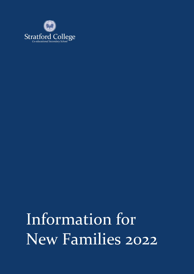

Information for New Families 2022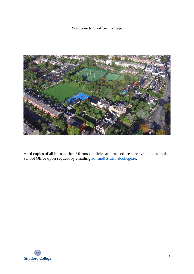## Welcome to Stratford College



Hard copies of all information / forms / policies and procedures are available from the School Office upon request by emailing [admin@stratfordcollege.ie.](mailto:admin@stratfordcollege.ie)

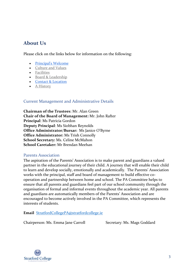# **About Us**

Please click on the links below for information on the following:

- [Principal's Welcome](https://www.stratfordcollege.ie/about-us/principals-welcome)
- [Culture and Values](https://www.stratfordcollege.ie/about-us/culture-and-values)
- [Facilities](https://www.stratfordcollege.ie/about-us/facilities)
- [Board & Leadership](https://www.stratfordcollege.ie/about-us/board-of-management)
- [Contact & Location](https://www.stratfordcollege.ie/about-us/contact)
- [A History](https://www.stratfordcollege.ie/about-us/ethos-history)

### Current Management and Administrative Details

**Chairman of the Trustees**: Mr. Alan Green **Chair of the Board of Management:** Mr. John Rafter **Principal**: Ms Patricia Gordon **Deputy Principal**: Ms Siobhan Reynolds **Office Administrator/Bursar:** Ms Janice O'Byrne **Office Administrator:** Ms Trish Connolly **School Secretary:** Ms. Celine McMahon **School Caretaker:** Mr Brendan Meehan

### Parents Association

The aspiration of the Parents' Association is to make parent and guardians a valued partner in the educational journey of their child. A journey that will enable their child to learn and develop socially, emotionally and academically. The Parents' Association works with the principal, staff and board of management to build effective cooperation and partnership between home and school. The PA Committee helps to ensure that all parents and guardians feel part of our school community through the organisation of formal and informal events throughout the academic year. All parents and guardians are automatically members of the Parents' Association and are encouraged to become actively involved in the PA Committee, which represents the interests of students.

### **Email** [StratfordCollegePA@stratfordcollege.ie](mailto:StratfordCollegePA@stratfordcollege.ie)

Chairperson: Ms. Emma Jane Carroll Secretary: Ms. Mags Goddard

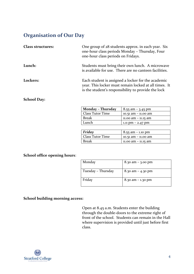# **Organisation of Our Day**

| <b>Class structures:</b> | One group of 28 students approx. in each year. Six<br>one-hour class periods Monday - Thursday, Four<br>one-hour class periods on Fridays.                         |
|--------------------------|--------------------------------------------------------------------------------------------------------------------------------------------------------------------|
| Lunch:                   | Students must bring their own lunch. A microwave<br>is available for use. There are no canteen facilities.                                                         |
| Lockers:                 | Each student is assigned a locker for the academic<br>year. This locker must remain locked at all times. It<br>is the student's responsibility to provide the lock |

### **School Day:**

| Monday - Thursday       | $8.55$ am $-$ 3.45 pm  |
|-------------------------|------------------------|
| <b>Class Tutor Time</b> | 10.51 am - 11.00 am    |
| <b>Break</b>            | $11.00$ am $-11.15$ am |
| Lunch                   | 1.11 pm $-$ 2.47 pm    |

| <b>Friday</b>           | $8.55$ am $-$ 1.10 pm  |
|-------------------------|------------------------|
| <b>Class Tutor Time</b> | 10.51 am - 11.00 am    |
| Break                   | $11.00$ am $-11.15$ am |

### **School office opening hours**:

| Monday             | $8.30$ am $-$ 3.00 pm |
|--------------------|-----------------------|
| Tuesday - Thursday | 8.30 am $-$ 4.30 pm   |
| Friday             | $8.30$ am $-1.30$ pm  |

### **School building morning access:**

Open at 8.45 a.m. Students enter the building through the double-doors to the extreme right of front of the school. Students can remain in the Hall where supervision is provided until just before first class.

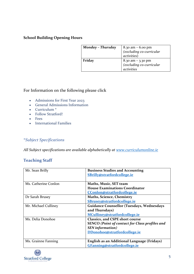### **School Building Opening Hours**

| Monday - Thursday |                                               |
|-------------------|-----------------------------------------------|
|                   | 8.30 am – 6.00 pm<br>(excluding co-curricular |
|                   | activities)                                   |
| Friday            |                                               |
|                   | 8.30 am - 3.30 pm<br>(excluding co-curricular |
|                   | activities                                    |

## For Information on the following please click

- [Admissions for First Year 2023](https://www.stratfordcollege.ie/general-information/1st-year-2023)
- [General Admissions Information](https://www.stratfordcollege.ie/general-information/admissions-policy-faqs-expressions-of-interest-and-forms.)
- [Curriculum](https://www.stratfordcollege.ie/general-information/academic) \*
- [Follow Stratford!](https://www.stratfordcollege.ie/general-information/follow-stratford)
- [Fees](https://www.stratfordcollege.ie/general-information/fees)
- [International Families](https://www.stratfordcollege.ie/general-information/international-families)

## \**Subject Specifications*

*All Subject specifications are available alphabetically at [www.curriculumonline.ie](http://www.curriculumonline.ie/)*

## **Teaching Staff**

| Mr. Sean Brilly      | <b>Business Studies and Accounting</b>                |
|----------------------|-------------------------------------------------------|
|                      | SBrilly@stratfordcollege.ie                           |
|                      |                                                       |
| Ms. Catherine Conlon | Maths, Music, SET team                                |
|                      | <b>House Examinations Coordinator</b>                 |
|                      | CConlon@stratfordcollege.ie                           |
| Dr Sarah Brusey      | <b>Maths, Science, Chemistry</b>                      |
|                      | SBrusey@stratfordcollege.ie                           |
| Mr. Michael Culliney | <b>Guidance Counsellor (Tuesdays, Wednesdays</b>      |
|                      | and Thursdays)                                        |
|                      | MCulliney@stratfordcollege.ie                         |
| Ms. Delia Donohoe    | <b>Classics, and CSPE short course</b>                |
|                      | <b>SENCO</b> (Point of contact for Class profiles and |
|                      | <b>SEN</b> information)                               |
|                      | DDonohoe@stratfordcollege.ie                          |
|                      |                                                       |
| Ms. Grainne Fanning  | English as an Additional Language (Fridays)           |
|                      | GFanning@stratfordcollege.ie                          |

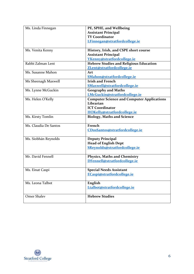| Ms. Linda Finnegan    | PE, SPHE, and Wellbeing                           |
|-----------------------|---------------------------------------------------|
|                       | <b>Assistant Principal</b>                        |
|                       | <b>TY Coordinator</b>                             |
|                       | LFinnegan@stratfordcollege.ie                     |
|                       |                                                   |
| Ms. Venita Kenny      | History, Irish, and CSPE short course             |
|                       | <b>Assistant Principal</b>                        |
|                       | VKenny@stratfordcollege.ie                        |
| Rabbi Zalman Lent     | <b>Hebrew Studies and Religious Education</b>     |
|                       | ZLent@stratfordcollege.ie                         |
| Ms. Susanne Mahon     | Art                                               |
|                       | SMahon@stratfordcollege.ie                        |
| Ms Sheenagh Maxwell   | <b>Irish and French</b>                           |
|                       | <b>SMaxwell@stratfordcollege.ie</b>               |
| Ms. Lynne McGuckin    | <b>Geography and Maths</b>                        |
|                       | LMcGuckin@stratfordcollege.ie                     |
| Ms. Helen O'Kelly     | <b>Computer Science and Computer Applications</b> |
|                       | Librarian                                         |
|                       | <b>ICT Coordinator</b>                            |
|                       | HOKelly@stratfordcollege.ie                       |
| Ms. Kirsty Tomlin     | <b>Biology, Maths and Science</b>                 |
| Ms. Claudia De Santos | French                                            |
|                       | <u>CDosSantos@stratfordcollege.ie</u>             |
|                       |                                                   |
| Ms. Siobhán Reynolds  | <b>Deputy Principal</b>                           |
|                       | <b>Head of English Dept</b>                       |
|                       | SReynolds@stratfordcollege.ie                     |
|                       |                                                   |
| Mr. David Fennell     | <b>Physics, Maths and Chemistry</b>               |
|                       | DFennell@stratfordcollege.ie                      |
|                       |                                                   |
| Ms. Einat Caspi       | <b>Special Needs Assistant</b>                    |
|                       | ECaspi@stratfordcollege.ie                        |
|                       |                                                   |
| Ms. Leona Talbot      | English                                           |
|                       | Ltalbot@stratfordcollege.ie                       |
|                       |                                                   |
| <b>Omer Shalev</b>    | <b>Hebrew Studies</b>                             |
|                       |                                                   |

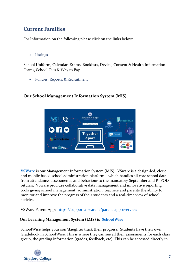# **Current Families**

For Information on the following please click on the links below:

• [Listings](https://www.stratfordcollege.ie/current-parents/welcome)

School Uniform, Calendar, Exams, Booklists, Device, Consent & Health Information Forms, School Fees & Way to Pay

• [Policies, Reports, & Recruitment](https://www.stratfordcollege.ie/current-parents/policies-reports-publications)



## **Our School Management Information System (MIS)**

**[VSWare](https://support.vsware.ie/)** is our Management Information System (MIS). VSware is a design-led, cloud and mobile based school administration platform – which handles all core school data from attendance, assessments, and behaviour to the mandatory September and P- POD returns. VSware provides collaborative data management and innovative reporting tools giving school management, administration, teachers and parents the ability to monitor and improve the progress of their students and a real-time view of school activity.

VSWare Parent App: <https://support.vsware.ie/parent-app-overview>

## **Our Learning Management System (LMS) is [SchoolWise](https://schoolwiselearning.com/schoolwise-learning-platform)**

SchoolWise helps your son/daughter track their progress. Students have their own Gradebook in SchoolWise. This is where they can see all their assessments for each class group, the grading information (grades, feedback, etc). This can be accessed directly in

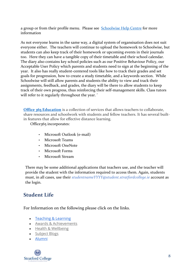a group or from their profile menu. Please see [Schoolwise Help Centre](http://support.schoolwiselearning.com/en/collections/2213255-i-am-a-learner) for more information

As not everyone learns in the same way, a digital system of organsisation does not suit everyone either. The teachers will continue to upload the homework to Schoolwise, but students can also keep track of their homework or upcoming events in their journals too. Here they can have a tangible copy of their timetable and their school calendar. The diary also contains key school policies such as our Positive Behaviour Policy, our Acceptable User Policy which parents and students need to sign at the beginning of the year. It also has really student-centered tools like how to track their grades and set goals for progression, how to create a study timetable, and a keywords section. While Schoolwise will still allow parents and students the ability to view and track their assignments, feedback, and grades, the diary will be there to allow students to keep track of their own progress, thus reinforcing their self-management skills. Class tutors will refer to it regularly throughout the year. '

**[Office 365 Education](https://www.pdst.ie/DistanceLearning/Platforms/microsoft)** is a collection of services that allows teachers to collaborate, share resources and schoolwork with students and fellow teachers. It has several builtin features that allow for effective distance learning.

Office365 incorporates:

- Microsoft Outlook (e-mail)
- Microsoft Teams
- Microsoft OneNote
- Microsoft Forms
- Microsoft Stream

There may be some additional applications that teachers use, and the teacher will provide the student with the information required to access them. Again, students must, in all cases, use their *studentnameYYYY@student.stratfordcollege.ie* account as the login.

# **Student Life**

For Information on the following please click on the links.

- [Teaching & Learning](https://www.stratfordcollege.ie/student-life/teaching-learning)
- [Awards & Achievements](https://www.stratfordcollege.ie/student-life/awards-achievement)
- [Health & Wellbeing](https://www.stratfordcollege.ie/student-life/health-wellbeing)
- [Subject Blogs](https://www.stratfordcollege.ie/student-life/subject-blogs)
- [Alumni](https://www.stratfordcollege.ie/student-life/alumni-2)

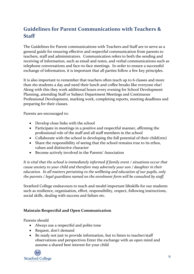# **Guidelines for Parent Communications with Teachers & Staff**

The Guidelines for Parent communications with Teachers and Staff are to serve as a general guide for ensuring effective and respectful communication from parents to teachers, staff and administrators. Communication refers to both the sending and receiving of information, such as email and notes, and verbal communications such as telephone conversations and face-to-face meetings. In order to ensure a successful exchange of information, it is important that all parties follow a few key principles.

It is also important to remember that teachers often teach up to 6 classes and more than 160 students a day and need their lunch and coffee breaks like everyone else! Along with this they work additional hours every evening for School Development Planning, attending Staff or Subject Department Meetings and Continuous Professional Development, marking work, completing reports, meeting deadlines and preparing for their classes.

Parents are encouraged to:

- Develop close links with the school
- Participate in meetings in a positive and respectful manner, affirming the professional role of the staff and all staff members in the school
- Collaborate with the school in developing the full potential of their child(ren)
- Share the responsibility of seeing that the school remains true to its ethos, values and distinctive character
- Become actively involved in the Parents' Association

*It is vital that the school is immediately informed if family event / situations occur that cause anxiety to your child and therefore may adversely your son / daughter in their education. In all matters pertaining to the wellbeing and education of our pupils, only the parents / legal guardians named on the enrolment form will be consulted by staff.*

Stratford College endeavours to teach and model important lifeskills for our students such as resilience, organisation, effort, responsibility, respect, following instructions, social skills, dealing with success and failure etc.

### **Maintain Respectful and Open Communication**

Parents should

- Always use a respectful and polite tone
- Request, don't demand
- Be ready not just to provide information, but to listen to teacher/staff observations and perspectives Enter the exchange with an open mind and assume a shared best interest for your child

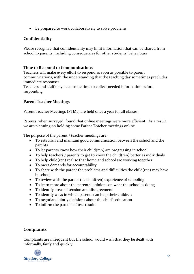• Be prepared to work collaboratively to solve problems

### **Confidentiality**

Please recognize that confidentiality may limit information that can be shared from school to parents, including consequences for other students' behaviours

### **Time to Respond to Communications**

Teachers will make every effort to respond as soon as possible to parent communications, with the understanding that the teaching day sometimes precludes immediate responses

Teachers and staff may need some time to collect needed information before responding.

## **Parent Teacher Meetings**

Parent Teacher Meetings (PTMs) are held once a year for all classes.

Parents, when surveyed, found that online meetings were more efficient. As a result we are planning on holding some Parent Teacher meetings online.

The purpose of the parent / teacher meetings are:

- To establish and maintain good communication between the school and the parents
- To let parents know how their child(ren) are progressing in school
- To help teachers / parents to get to know the child(ren) better as individuals
- To help child(ren) realise that home and school are working together
- To meet demands for accountability
- To share with the parent the problems and difficulties the child(ren) may have in school
- To review with the parent the child(ren) experience of schooling
- To learn more about the parental opinions on what the school is doing
- To identify areas of tension and disagreement
- To identify ways in which parents can help their children
- To negotiate jointly decisions about the child's education
- To inform the parents of test results

## **Complaints**

Complaints are infrequent but the school would wish that they be dealt with informally, fairly and quickly.

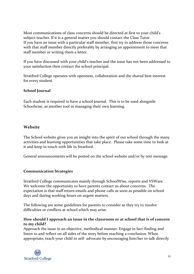Most communications of class concerns should be directed at first to your child's subject teacher. If it is a general matter you should contact the Class Tutor. If you have an issue with a particular staff member, first try to address those concerns with that staff member directly preferably by arranging an appointment to meet that staff member or writing them a letter.

If you have discussed with your child's teacher and the issue has not been addressed to your satisfaction then contact the school principal.

Stratford College operates with openness, collaboration and the shared best interest for every student.

### **School Journal**

Each student is required to have a school journal. This is to be used alongside Schoolwise, as another tool in managing their own learning.

## **Website**

The School website gives you an insight into the spirit of our school through the many activities and learning opportunities that take place. Please take some time to look at it and keep in touch with life in Stratford.

General announcements will be posted on the school website and/or by text message.

### **Communication Strategies**

Stratford College communicates mainly through SchoolWise, reports and VSWare. We welcome the opportunity to have parents contact us about concerns. The expectation is that staff return emails and phone calls as soon as possible on school days and during working hours on urgent matters.

The following are some guidelines for parents to consider as they try to resolve difficulties or conflicts at school which may arise:

### **How should I approach an issue in the classroom or at school that is of concern to my child?**

Approach the issue in an objective, methodical manner. Engage in fact-finding and listen to and reflect on all sides of the story before reaching a conclusion. When appropriate, teach your child to self- advocate by encouraging him/her to talk directly